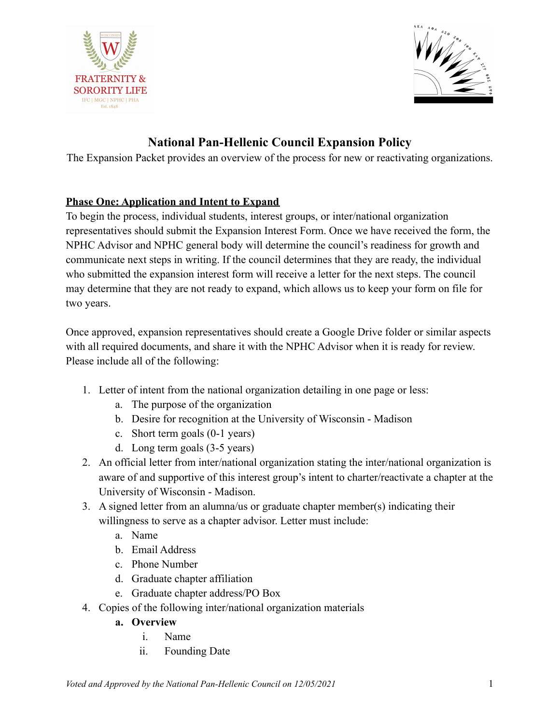



# **National Pan-Hellenic Council Expansion Policy**

The Expansion Packet provides an overview of the process for new or reactivating organizations.

# **Phase One: Application and Intent to Expand**

To begin the process, individual students, interest groups, or inter/national organization representatives should submit the Expansion Interest Form. Once we have received the form, the NPHC Advisor and NPHC general body will determine the council's readiness for growth and communicate next steps in writing. If the council determines that they are ready, the individual who submitted the expansion interest form will receive a letter for the next steps. The council may determine that they are not ready to expand, which allows us to keep your form on file for two years.

Once approved, expansion representatives should create a Google Drive folder or similar aspects with all required documents, and share it with the NPHC Advisor when it is ready for review. Please include all of the following:

- 1. Letter of intent from the national organization detailing in one page or less:
	- a. The purpose of the organization
	- b. Desire for recognition at the University of Wisconsin Madison
	- c. Short term goals (0-1 years)
	- d. Long term goals (3-5 years)
- 2. An official letter from inter/national organization stating the inter/national organization is aware of and supportive of this interest group's intent to charter/reactivate a chapter at the University of Wisconsin - Madison.
- 3. A signed letter from an alumna/us or graduate chapter member(s) indicating their willingness to serve as a chapter advisor. Letter must include:
	- a. Name
	- b. Email Address
	- c. Phone Number
	- d. Graduate chapter affiliation
	- e. Graduate chapter address/PO Box
- 4. Copies of the following inter/national organization materials
	- **a. Overview**
		- i. Name
		- ii. Founding Date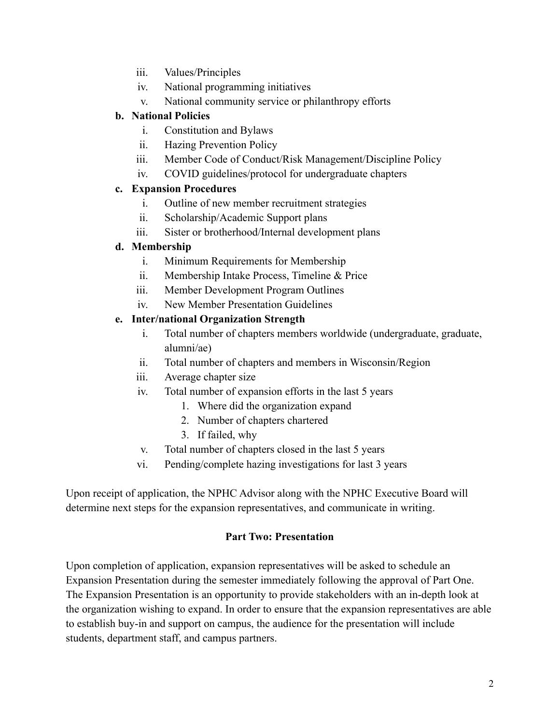- iii. Values/Principles
- iv. National programming initiatives
- v. National community service or philanthropy efforts

### **b. National Policies**

- i. Constitution and Bylaws
- ii. Hazing Prevention Policy
- iii. Member Code of Conduct/Risk Management/Discipline Policy
- iv. COVID guidelines/protocol for undergraduate chapters

### **c. Expansion Procedures**

- i. Outline of new member recruitment strategies
- ii. Scholarship/Academic Support plans
- iii. Sister or brotherhood/Internal development plans

### **d. Membership**

- i. Minimum Requirements for Membership
- ii. Membership Intake Process, Timeline & Price
- iii. Member Development Program Outlines
- iv. New Member Presentation Guidelines

### **e. Inter/national Organization Strength**

- i. Total number of chapters members worldwide (undergraduate, graduate, alumni/ae)
- ii. Total number of chapters and members in Wisconsin/Region
- iii. Average chapter size
- iv. Total number of expansion efforts in the last 5 years
	- 1. Where did the organization expand
	- 2. Number of chapters chartered
	- 3. If failed, why
- v. Total number of chapters closed in the last 5 years
- vi. Pending/complete hazing investigations for last 3 years

Upon receipt of application, the NPHC Advisor along with the NPHC Executive Board will determine next steps for the expansion representatives, and communicate in writing.

### **Part Two: Presentation**

Upon completion of application, expansion representatives will be asked to schedule an Expansion Presentation during the semester immediately following the approval of Part One. The Expansion Presentation is an opportunity to provide stakeholders with an in-depth look at the organization wishing to expand. In order to ensure that the expansion representatives are able to establish buy-in and support on campus, the audience for the presentation will include students, department staff, and campus partners.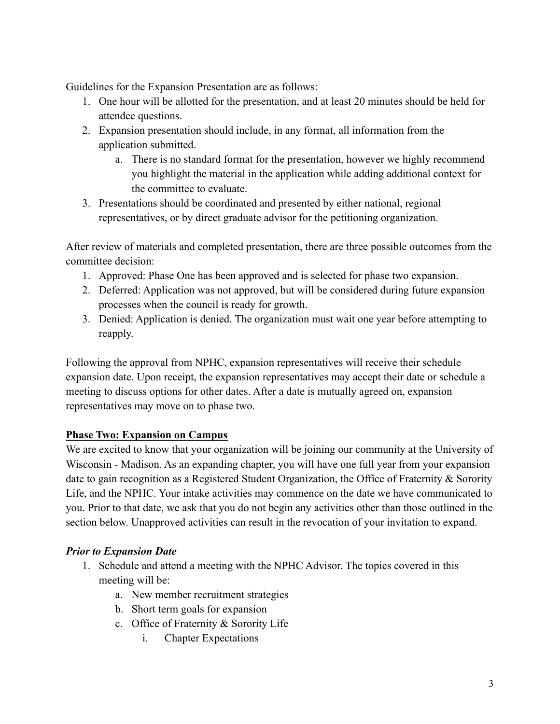Guidelines for the Expansion Presentation are as follows:

- 1. One hour will be allotted for the presentation, and at least 20 minutes should be held for attendee questions.
- 2. Expansion presentation should include, in any format, all information from the application submitted.
	- a. There is no standard format for the presentation, however we highly recommend you highlight the material in the application while adding additional context for the committee to evaluate.
- 3. Presentations should be coordinated and presented by either national, regional representatives, or by direct graduate advisor for the petitioning organization.

After review of materials and completed presentation, there are three possible outcomes from the committee decision:

- 1. Approved: Phase One has been approved and is selected for phase two expansion.
- 2. Deferred: Application was not approved, but will be considered during future expansion processes when the council is ready for growth.
- 3. Denied: Application is denied. The organization must wait one year before attempting to reapply.

Following the approval from NPHC, expansion representatives will receive their schedule expansion date. Upon receipt, the expansion representatives may accept their date or schedule a meeting to discuss options for other dates. After a date is mutually agreed on, expansion representatives may move on to phase two.

# **Phase Two: Expansion on Campus**

We are excited to know that your organization will be joining our community at the University of Wisconsin - Madison. As an expanding chapter, you will have one full year from your expansion date to gain recognition as a Registered Student Organization, the Office of Fraternity & Sorority Life, and the NPHC. Your intake activities may commence on the date we have communicated to you. Prior to that date, we ask that you do not begin any activities other than those outlined in the section below. Unapproved activities can result in the revocation of your invitation to expand.

## *Prior to Expansion Date*

- 1. Schedule and attend a meeting with the NPHC Advisor. The topics covered in this meeting will be:
	- a. New member recruitment strategies
	- b. Short term goals for expansion
	- c. Office of Fraternity & Sorority Life
		- i. Chapter Expectations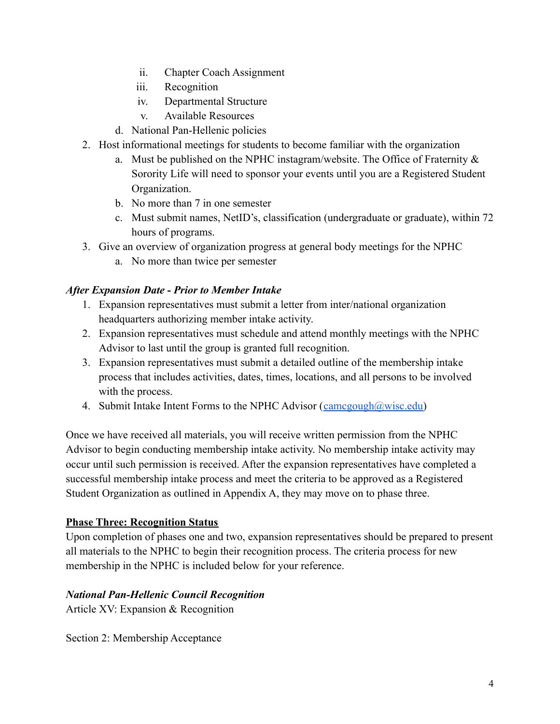- ii. Chapter Coach Assignment
- iii. Recognition
- iv. Departmental Structure
- v. Available Resources
- d. National Pan-Hellenic policies
- 2. Host informational meetings for students to become familiar with the organization
	- a. Must be published on the NPHC instagram/website. The Office of Fraternity & Sorority Life will need to sponsor your events until you are a Registered Student Organization.
	- b. No more than 7 in one semester
	- c. Must submit names, NetID's, classification (undergraduate or graduate), within 72 hours of programs.
- 3. Give an overview of organization progress at general body meetings for the NPHC
	- a. No more than twice per semester

### *After Expansion Date - Prior to Member Intake*

- 1. Expansion representatives must submit a letter from inter/national organization headquarters authorizing member intake activity.
- 2. Expansion representatives must schedule and attend monthly meetings with the NPHC Advisor to last until the group is granted full recognition.
- 3. Expansion representatives must submit a detailed outline of the membership intake process that includes activities, dates, times, locations, and all persons to be involved with the process.
- 4. Submit Intake Intent Forms to the NPHC Advisor  $(\underline{camegough@wise.edu})$

Once we have received all materials, you will receive written permission from the NPHC Advisor to begin conducting membership intake activity. No membership intake activity may occur until such permission is received. After the expansion representatives have completed a successful membership intake process and meet the criteria to be approved as a Registered Student Organization as outlined in Appendix A, they may move on to phase three.

### **Phase Three: Recognition Status**

Upon completion of phases one and two, expansion representatives should be prepared to present all materials to the NPHC to begin their recognition process. The criteria process for new membership in the NPHC is included below for your reference.

### *National Pan-Hellenic Council Recognition*

Article XV: Expansion & Recognition

Section 2: Membership Acceptance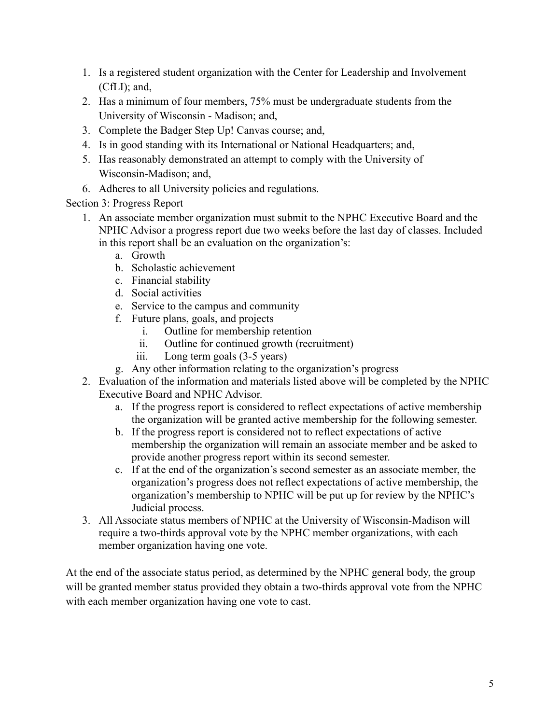- 1. Is a registered student organization with the Center for Leadership and Involvement (CfLI); and,
- 2. Has a minimum of four members, 75% must be undergraduate students from the University of Wisconsin - Madison; and,
- 3. Complete the Badger Step Up! Canvas course; and,
- 4. Is in good standing with its International or National Headquarters; and,
- 5. Has reasonably demonstrated an attempt to comply with the University of Wisconsin-Madison; and,
- 6. Adheres to all University policies and regulations.

# Section 3: Progress Report

- 1. An associate member organization must submit to the NPHC Executive Board and the NPHC Advisor a progress report due two weeks before the last day of classes. Included in this report shall be an evaluation on the organization's:
	- a. Growth
	- b. Scholastic achievement
	- c. Financial stability
	- d. Social activities
	- e. Service to the campus and community
	- f. Future plans, goals, and projects
		- i. Outline for membership retention
		- ii. Outline for continued growth (recruitment)
		- iii. Long term goals (3-5 years)
	- g. Any other information relating to the organization's progress
- 2. Evaluation of the information and materials listed above will be completed by the NPHC Executive Board and NPHC Advisor.
	- a. If the progress report is considered to reflect expectations of active membership the organization will be granted active membership for the following semester.
	- b. If the progress report is considered not to reflect expectations of active membership the organization will remain an associate member and be asked to provide another progress report within its second semester.
	- c. If at the end of the organization's second semester as an associate member, the organization's progress does not reflect expectations of active membership, the organization's membership to NPHC will be put up for review by the NPHC's Judicial process.
- 3. All Associate status members of NPHC at the University of Wisconsin-Madison will require a two-thirds approval vote by the NPHC member organizations, with each member organization having one vote.

At the end of the associate status period, as determined by the NPHC general body, the group will be granted member status provided they obtain a two-thirds approval vote from the NPHC with each member organization having one vote to cast.